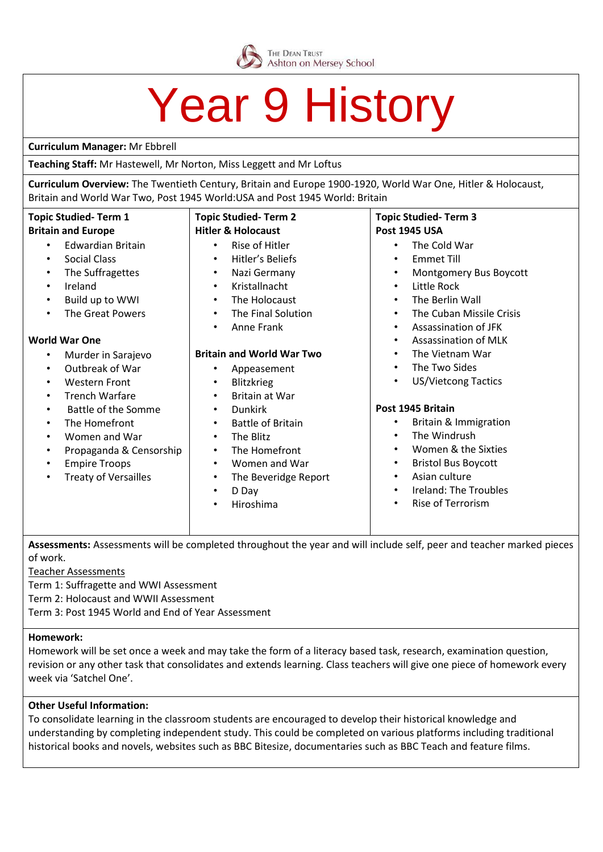

## Year 9 History

#### **Curriculum Manager:** Mr Ebbrell

**Teaching Staff:** Mr Hastewell, Mr Norton, Miss Leggett and Mr Loftus

**Curriculum Overview:** The Twentieth Century, Britain and Europe 1900-1920, World War One, Hitler & Holocaust, Britain and World War Two, Post 1945 World:USA and Post 1945 World: Britain

| <b>Topic Studied-Term 1</b>             | <b>Topic Studied-Term 2</b>       | <b>Topic Studied-Term 3</b>        |
|-----------------------------------------|-----------------------------------|------------------------------------|
| <b>Britain and Europe</b>               | <b>Hitler &amp; Holocaust</b>     | <b>Post 1945 USA</b>               |
| <b>Edwardian Britain</b>                | Rise of Hitler                    | The Cold War                       |
| $\bullet$                               | $\bullet$                         | $\bullet$                          |
| Social Class                            | Hitler's Beliefs                  | <b>Emmet Till</b>                  |
| $\bullet$                               | $\bullet$                         | $\bullet$                          |
| The Suffragettes                        | Nazi Germany                      | Montgomery Bus Boycott             |
| $\bullet$                               | $\bullet$                         | $\bullet$                          |
| Ireland                                 | Kristallnacht                     | Little Rock                        |
| $\bullet$                               | $\bullet$                         | $\bullet$                          |
| Build up to WWI                         | The Holocaust                     | The Berlin Wall                    |
| $\bullet$                               | $\bullet$                         | $\bullet$                          |
| <b>The Great Powers</b>                 | The Final Solution                | The Cuban Missile Crisis           |
| $\bullet$                               | $\bullet$                         | $\bullet$                          |
|                                         | Anne Frank<br>$\bullet$           | Assassination of JFK<br>$\bullet$  |
| <b>World War One</b>                    |                                   | Assassination of MLK<br>$\bullet$  |
| Murder in Sarajevo<br>$\bullet$         | <b>Britain and World War Two</b>  | The Vietnam War<br>$\bullet$       |
| Outbreak of War                         | Appeasement                       | The Two Sides                      |
| $\bullet$                               | ٠                                 | $\bullet$                          |
| <b>Western Front</b>                    | Blitzkrieg                        | <b>US/Vietcong Tactics</b>         |
| $\bullet$                               | $\bullet$                         | $\bullet$                          |
| <b>Trench Warfare</b><br>$\bullet$      | Britain at War<br>$\bullet$       |                                    |
| <b>Battle of the Somme</b><br>$\bullet$ | <b>Dunkirk</b><br>$\bullet$       | Post 1945 Britain                  |
| The Homefront                           | <b>Battle of Britain</b>          | Britain & Immigration              |
| $\bullet$                               | $\bullet$                         | $\bullet$                          |
| Women and War                           | The Blitz                         | The Windrush                       |
| $\bullet$                               | $\bullet$                         | $\bullet$                          |
| Propaganda & Censorship                 | The Homefront                     | Women & the Sixties                |
| ٠                                       | $\bullet$                         | $\bullet$                          |
| <b>Empire Troops</b>                    | Women and War                     | <b>Bristol Bus Boycott</b>         |
| ٠                                       | $\bullet$                         | $\bullet$                          |
| <b>Treaty of Versailles</b>             | The Beveridge Report<br>$\bullet$ | Asian culture<br>٠                 |
|                                         | D Day<br>$\bullet$                | Ireland: The Troubles<br>$\bullet$ |
|                                         | Hiroshima<br>$\bullet$            | Rise of Terrorism<br>$\bullet$     |
|                                         |                                   |                                    |
|                                         |                                   |                                    |

**Assessments:** Assessments will be completed throughout the year and will include self, peer and teacher marked pieces of work.

Teacher Assessments

Term 1: Suffragette and WWI Assessment

Term 2: Holocaust and WWII Assessment

Term 3: Post 1945 World and End of Year Assessment

#### **Homework:**

Homework will be set once a week and may take the form of a literacy based task, research, examination question, revision or any other task that consolidates and extends learning. Class teachers will give one piece of homework every week via 'Satchel One'.

#### **Other Useful Information:**

To consolidate learning in the classroom students are encouraged to develop their historical knowledge and understanding by completing independent study. This could be completed on various platforms including traditional historical books and novels, websites such as BBC Bitesize, documentaries such as BBC Teach and feature films.